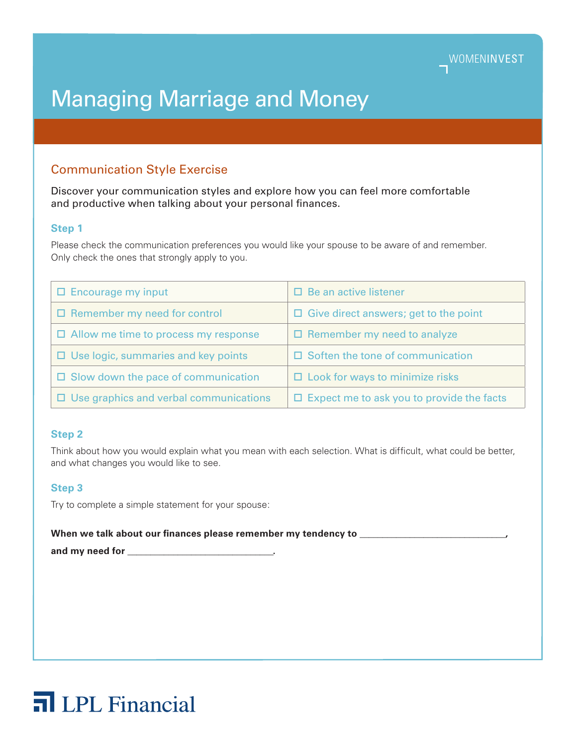# Managing Marriage and Money

## Communication Style Exercise

Discover your communication styles and explore how you can feel more comfortable and productive when talking about your personal finances.

#### **Step 1**

Please check the communication preferences you would like your spouse to be aware of and remember. Only check the ones that strongly apply to you.

| $\Box$ Encourage my input                     | $\Box$ Be an active listener                     |
|-----------------------------------------------|--------------------------------------------------|
| $\square$ Remember my need for control        | Give direct answers; get to the point<br>ш.      |
| $\Box$ Allow me time to process my response   | $\Box$ Remember my need to analyze               |
| $\Box$ Use logic, summaries and key points    | $\square$ Soften the tone of communication       |
| $\Box$ Slow down the pace of communication    | $\Box$ Look for ways to minimize risks           |
| $\Box$ Use graphics and verbal communications | $\Box$ Expect me to ask you to provide the facts |

#### **Step 2**

Think about how you would explain what you mean with each selection. What is difficult, what could be better, and what changes you would like to see.

#### **Step 3**

Try to complete a simple statement for your spouse:

When we talk about our finances please remember my tendency to **with all and the set of the set of the set of the set of the set of the set of the set of the set of the set of the set of the set of the set of the set of th** 

and my need for **and the same of the same of the same of the same of the same of the same of the same of the same of the same of the same of the same of the same of the same of the same of the same of the same of the same** 

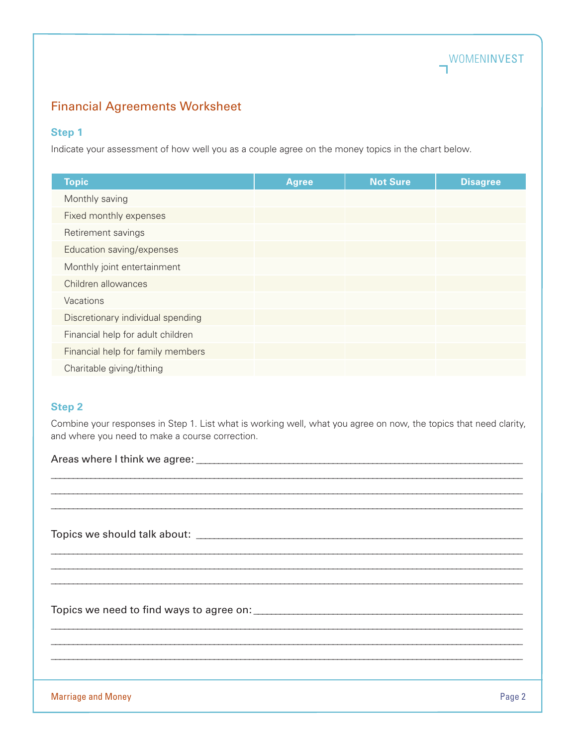

## Financial Agreements Worksheet

#### **Step 1**

Indicate your assessment of how well you as a couple agree on the money topics in the chart below.

| <b>Topic</b>                      | <b>Agree</b> | <b>Not Sure</b> | <b>Disagree</b> |
|-----------------------------------|--------------|-----------------|-----------------|
| Monthly saving                    |              |                 |                 |
| Fixed monthly expenses            |              |                 |                 |
| Retirement savings                |              |                 |                 |
| Education saving/expenses         |              |                 |                 |
| Monthly joint entertainment       |              |                 |                 |
| Children allowances               |              |                 |                 |
| Vacations                         |              |                 |                 |
| Discretionary individual spending |              |                 |                 |
| Financial help for adult children |              |                 |                 |
| Financial help for family members |              |                 |                 |
| Charitable giving/tithing         |              |                 |                 |

#### **Step 2**

Combine your responses in Step 1. List what is working well, what you agree on now, the topics that need clarity, and where you need to make a course correction.

\_\_\_\_\_\_\_\_\_\_\_\_\_\_\_\_\_\_\_\_\_\_\_\_\_\_\_\_\_\_\_\_\_\_\_\_\_\_\_\_\_\_\_\_\_\_\_\_\_\_\_\_\_\_\_\_\_\_\_\_\_\_\_\_\_\_\_\_\_\_\_\_\_\_\_\_\_\_\_\_\_\_\_\_\_\_\_\_\_\_\_\_\_\_\_\_\_\_\_\_\_\_\_\_\_\_\_ \_\_\_\_\_\_\_\_\_\_\_\_\_\_\_\_\_\_\_\_\_\_\_\_\_\_\_\_\_\_\_\_\_\_\_\_\_\_\_\_\_\_\_\_\_\_\_\_\_\_\_\_\_\_\_\_\_\_\_\_\_\_\_\_\_\_\_\_\_\_\_\_\_\_\_\_\_\_\_\_\_\_\_\_\_\_\_\_\_\_\_\_\_\_\_\_\_\_\_\_\_\_\_\_\_\_\_ \_\_\_\_\_\_\_\_\_\_\_\_\_\_\_\_\_\_\_\_\_\_\_\_\_\_\_\_\_\_\_\_\_\_\_\_\_\_\_\_\_\_\_\_\_\_\_\_\_\_\_\_\_\_\_\_\_\_\_\_\_\_\_\_\_\_\_\_\_\_\_\_\_\_\_\_\_\_\_\_\_\_\_\_\_\_\_\_\_\_\_\_\_\_\_\_\_\_\_\_\_\_\_\_\_\_\_

\_\_\_\_\_\_\_\_\_\_\_\_\_\_\_\_\_\_\_\_\_\_\_\_\_\_\_\_\_\_\_\_\_\_\_\_\_\_\_\_\_\_\_\_\_\_\_\_\_\_\_\_\_\_\_\_\_\_\_\_\_\_\_\_\_\_\_\_\_\_\_\_\_\_\_\_\_\_\_\_\_\_\_\_\_\_\_\_\_\_\_\_\_\_\_\_\_\_\_\_\_\_\_\_\_\_\_ \_\_\_\_\_\_\_\_\_\_\_\_\_\_\_\_\_\_\_\_\_\_\_\_\_\_\_\_\_\_\_\_\_\_\_\_\_\_\_\_\_\_\_\_\_\_\_\_\_\_\_\_\_\_\_\_\_\_\_\_\_\_\_\_\_\_\_\_\_\_\_\_\_\_\_\_\_\_\_\_\_\_\_\_\_\_\_\_\_\_\_\_\_\_\_\_\_\_\_\_\_\_\_\_\_\_\_ \_\_\_\_\_\_\_\_\_\_\_\_\_\_\_\_\_\_\_\_\_\_\_\_\_\_\_\_\_\_\_\_\_\_\_\_\_\_\_\_\_\_\_\_\_\_\_\_\_\_\_\_\_\_\_\_\_\_\_\_\_\_\_\_\_\_\_\_\_\_\_\_\_\_\_\_\_\_\_\_\_\_\_\_\_\_\_\_\_\_\_\_\_\_\_\_\_\_\_\_\_\_\_\_\_\_\_

\_\_\_\_\_\_\_\_\_\_\_\_\_\_\_\_\_\_\_\_\_\_\_\_\_\_\_\_\_\_\_\_\_\_\_\_\_\_\_\_\_\_\_\_\_\_\_\_\_\_\_\_\_\_\_\_\_\_\_\_\_\_\_\_\_\_\_\_\_\_\_\_\_\_\_\_\_\_\_\_\_\_\_\_\_\_\_\_\_\_\_\_\_\_\_\_\_\_\_\_\_\_\_\_\_\_\_ \_\_\_\_\_\_\_\_\_\_\_\_\_\_\_\_\_\_\_\_\_\_\_\_\_\_\_\_\_\_\_\_\_\_\_\_\_\_\_\_\_\_\_\_\_\_\_\_\_\_\_\_\_\_\_\_\_\_\_\_\_\_\_\_\_\_\_\_\_\_\_\_\_\_\_\_\_\_\_\_\_\_\_\_\_\_\_\_\_\_\_\_\_\_\_\_\_\_\_\_\_\_\_\_\_\_\_ \_\_\_\_\_\_\_\_\_\_\_\_\_\_\_\_\_\_\_\_\_\_\_\_\_\_\_\_\_\_\_\_\_\_\_\_\_\_\_\_\_\_\_\_\_\_\_\_\_\_\_\_\_\_\_\_\_\_\_\_\_\_\_\_\_\_\_\_\_\_\_\_\_\_\_\_\_\_\_\_\_\_\_\_\_\_\_\_\_\_\_\_\_\_\_\_\_\_\_\_\_\_\_\_\_\_\_

Areas where I think we agree: \_\_\_\_\_\_\_\_\_\_\_\_\_\_\_\_\_\_\_\_\_\_\_\_\_\_\_\_\_\_\_\_\_\_\_\_\_\_\_\_\_\_\_\_\_\_\_\_\_\_\_\_\_\_\_\_\_\_\_\_\_\_\_\_\_\_\_\_\_\_\_\_\_\_

Topics we should talk about: \_\_\_\_\_\_\_\_\_\_\_\_\_\_\_\_\_\_\_\_\_\_\_\_\_\_\_\_\_\_\_\_\_\_\_\_\_\_\_\_\_\_\_\_\_\_\_\_\_\_\_\_\_\_\_\_\_\_\_\_\_\_\_\_\_\_\_\_\_\_\_\_\_\_

Topics we need to find ways to agree on: \_\_\_\_\_\_\_\_\_\_\_\_\_\_\_\_\_\_\_\_\_\_\_\_\_\_\_\_\_\_\_\_\_\_\_\_\_\_\_\_\_\_\_\_\_\_\_\_\_\_\_\_\_\_\_\_\_\_\_\_\_

Marriage and Money **Page 2** and Money **Page 2** and Money **Page 2** and Money **Page 2** and Money **Page 2** and Money **Page 2**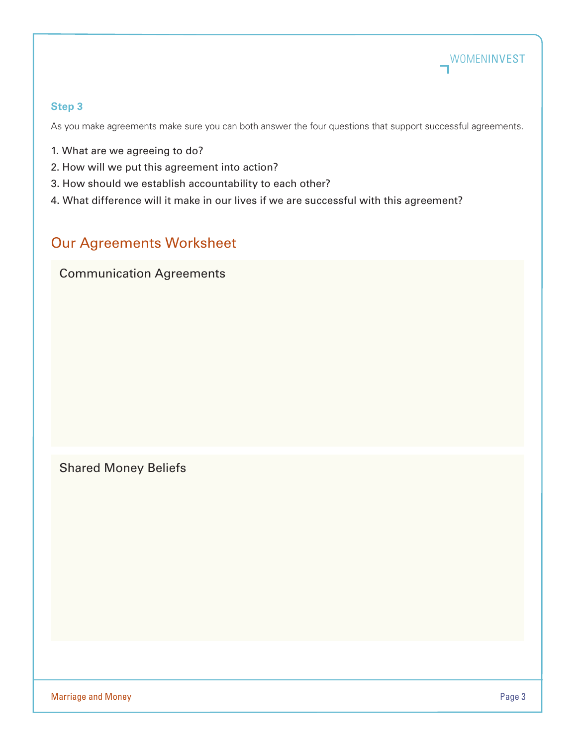

#### **Step 3**

As you make agreements make sure you can both answer the four questions that support successful agreements.

- 1. What are we agreeing to do?
- 2. How will we put this agreement into action?
- 3. How should we establish accountability to each other?
- 4. What difference will it make in our lives if we are successful with this agreement?

# Our Agreements Worksheet

## Communication Agreements

Shared Money Beliefs